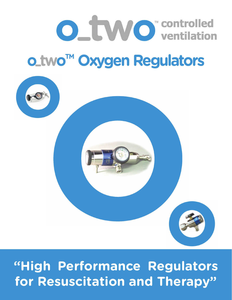

# **o\_two™ Oxygen Regulators**



## **"High Performance Regulators for Resuscitation and Therapy"**